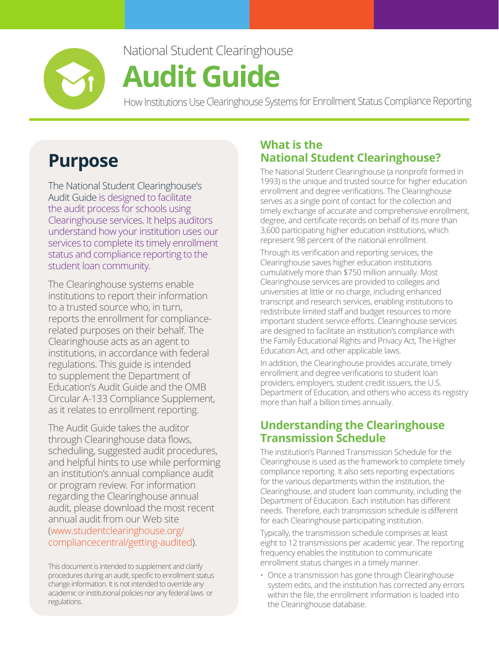

### National Student Clearinghouse

# **Audit Guide**

How Institutions Use Clearinghouse Systems for Enrollment Status Compliance Reporting

### **Purpose**

The National Student Clearinghouse's Audit Guide is designed to facilitate the audit process for schools using Clearinghouse services. It helps auditors understand how your institution uses our services to complete its timely enrollment status and compliance reporting to the student loan community.

The Clearinghouse systems enable institutions to report their information to a trusted source who, in turn, reports the enrollment for compliancerelated purposes on their behalf. The Clearinghouse acts as an agent to institutions, in accordance with federal regulations. This guide is intended to supplement the Department of Education's Audit Guide and the OMB Circular A-133 Compliance Supplement, as it relates to enrollment reporting.

The Audit Guide takes the auditor through Clearinghouse data flows, scheduling, suggested audit procedures, and helpful hints to use while performing an institution's annual compliance audit or program review. For information regarding the Clearinghouse annual audit, please download the most recent annual audit from our Web site [\(www.studentclearinghouse.org/](http://www.studentclearinghouse.org/compliancecentral/getting-audited) [compliancecentral/getting-audited\)](http://www.studentclearinghouse.org/compliancecentral/getting-audited).

This document is intended to supplement and clarify procedures during an audit, specific to enrollment status change information. It is not intended to override any academic or institutional policies nor any federal laws or regulations.

#### **What is the National Student Clearinghouse?**

The National Student Clearinghouse (a nonprofit formed in 1993) is the unique and trusted source for higher education enrollment and degree verifications. The Clearinghouse serves as a single point of contact for the collection and timely exchange of accurate and comprehensive enrollment, degree, and certificate records on behalf of its more than 3,600 participating higher education institutions, which represent 98 percent of the national enrollment.

Through its verification and reporting services, the Clearinghouse saves higher education institutions cumulatively more than \$750 million annually. Most Clearinghouse services are provided to colleges and universities at little or no charge, including enhanced transcript and research services, enabling institutions to redistribute limited staff and budget resources to more important student service efforts. Clearinghouse services are designed to facilitate an institution's compliance with the Family Educational Rights and Privacy Act, The Higher Education Act, and other applicable laws.

In addition, the Clearinghouse provides accurate, timely enrollment and degree verifications to student loan providers, employers, student credit issuers, the U.S. Department of Education, and others who access its registry more than half a billion times annually.

#### **Understanding the Clearinghouse Transmission Schedule**

The institution's Planned Transmission Schedule for the Clearinghouse is used as the framework to complete timely compliance reporting. It also sets reporting expectations for the various departments within the institution, the Clearinghouse, and student loan community, including the Department of Education. Each institution has different needs. Therefore, each transmission schedule is different for each Clearinghouse participating institution.

Typically, the transmission schedule comprises at least eight to 12 transmissions per academic year. The reporting frequency enables the institution to communicate enrollment status changes in a timely manner.

• Once a transmission has gone through Clearinghouse system edits, and the institution has corrected any errors within the file, the enrollment information is loaded into the Clearinghouse database.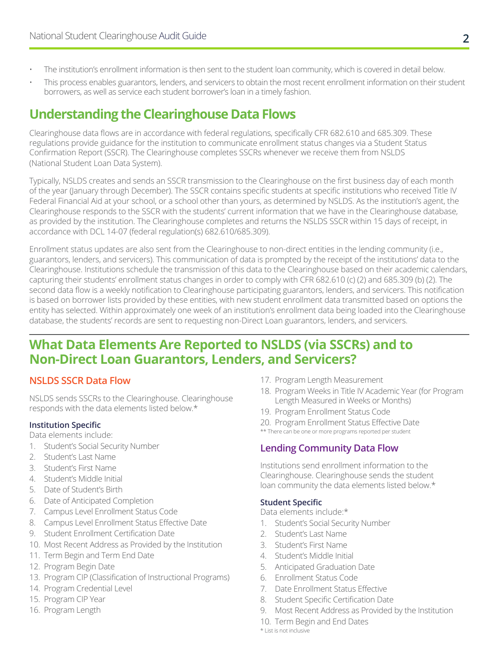- The institution's enrollment information is then sent to the student loan community, which is covered in detail below.
- This process enables guarantors, lenders, and servicers to obtain the most recent enrollment information on their student borrowers, as well as service each student borrower's loan in a timely fashion.

#### **Understanding the Clearinghouse Data Flows**

Clearinghouse data flows are in accordance with federal regulations, specifically CFR 682.610 and 685.309. These regulations provide guidance for the institution to communicate enrollment status changes via a Student Status Confirmation Report (SSCR). The Clearinghouse completes SSCRs whenever we receive them from NSLDS (National Student Loan Data System).

Typically, NSLDS creates and sends an SSCR transmission to the Clearinghouse on the first business day of each month of the year (January through December). The SSCR contains specific students at specific institutions who received Title IV Federal Financial Aid at your school, or a school other than yours, as determined by NSLDS. As the institution's agent, the Clearinghouse responds to the SSCR with the students' current information that we have in the Clearinghouse database, as provided by the institution. The Clearinghouse completes and returns the NSLDS SSCR within 15 days of receipt, in accordance with DCL 14-07 (federal regulation(s) 682.610/685.309).

Enrollment status updates are also sent from the Clearinghouse to non-direct entities in the lending community (i.e., guarantors, lenders, and servicers). This communication of data is prompted by the receipt of the institutions' data to the Clearinghouse. Institutions schedule the transmission of this data to the Clearinghouse based on their academic calendars, capturing their students' enrollment status changes in order to comply with CFR 682.610 (c) (2) and 685.309 (b) (2). The second data flow is a weekly notification to Clearinghouse participating guarantors, lenders, and servicers. This notification is based on borrower lists provided by these entities, with new student enrollment data transmitted based on options the entity has selected. Within approximately one week of an institution's enrollment data being loaded into the Clearinghouse database, the students' records are sent to requesting non-Direct Loan guarantors, lenders, and servicers.

#### **What Data Elements Are Reported to NSLDS (via SSCRs) and to Non-Direct Loan Guarantors, Lenders, and Servicers?**

#### **NSLDS SSCR Data Flow**

NSLDS sends SSCRs to the Clearinghouse. Clearinghouse responds with the data elements listed below.\*

#### **Institution Specific**

Data elements include:

- 1. Student's Social Security Number
- 2. Student's Last Name
- 3. Student's First Name
- 4. Student's Middle Initial
- 5. Date of Student's Birth
- 6. Date of Anticipated Completion
- 7. Campus Level Enrollment Status Code
- 8. Campus Level Enrollment Status Effective Date
- 9. Student Enrollment Certification Date
- 10. Most Recent Address as Provided by the Institution
- 11. Term Begin and Term End Date
- 12. Program Begin Date
- 13. Program CIP (Classification of Instructional Programs)
- 14. Program Credential Level
- 15. Program CIP Year
- 16. Program Length
- 17. Program Length Measurement
- 18. Program Weeks in Title IV Academic Year (for Program Length Measured in Weeks or Months)
- 19. Program Enrollment Status Code
- 20. Program Enrollment Status Effective Date
- \*\* There can be one or more programs reported per student

#### **Lending Community Data Flow**

Institutions send enrollment information to the Clearinghouse. Clearinghouse sends the student loan community the data elements listed below.\*

#### **Student Specific**

Data elements include:\*

- 1. Student's Social Security Number
- 2. Student's Last Name
- 3. Student's First Name
- 4. Student's Middle Initial
- 5. Anticipated Graduation Date
- 6. Enrollment Status Code
- 7. Date Enrollment Status Effective
- 8. Student Specific Certification Date
- 9. Most Recent Address as Provided by the Institution
- 10. Term Begin and End Dates

\* List is not inclusive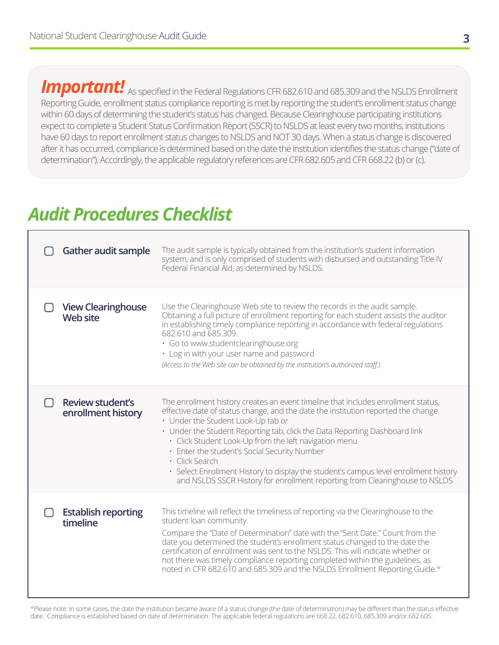*Important!* As specified in the Federal Regulations CFR 682.610 and 685.309 and the NSLDS Enrollment Reporting Guide, enrollment status compliance reporting is met by reporting the student's enrollment status change within 60 days of determining the student's status has changed. Because Clearinghouse participating institutions expect to complete a Student Status Confirmation Report (SSCR) to NSLDS at least every two months, institutions have 60 days to report enrollment status changes to NSLDS and NOT 30 days. When a status change is discovered after it has occurred, compliance is determined based on the date the institution identifies the status change ("date of determination"). Accordingly, the applicable regulatory references are CFR 682.605 and CFR 668.22 (b) or (c).

### *Audit Procedures Checklist*

| Gather audit sample                           | The audit sample is typically obtained from the institution's student information<br>system, and is only comprised of students with disbursed and outstanding Title IV<br>Federal Financial Aid, as determined by NSLDS.                                                                                                                                                                                                                                                                                                                                                                      |
|-----------------------------------------------|-----------------------------------------------------------------------------------------------------------------------------------------------------------------------------------------------------------------------------------------------------------------------------------------------------------------------------------------------------------------------------------------------------------------------------------------------------------------------------------------------------------------------------------------------------------------------------------------------|
| <b>View Clearinghouse</b><br><b>Web site</b>  | Use the Clearinghouse Web site to review the records in the audit sample.<br>Obtaining a full picture of enrollment reporting for each student assists the auditor<br>in establishing timely compliance reporting in accordance with federal regulations<br>682.610 and 685.309.<br>· Go to www.studentclearinghouse.org<br>• Log in with your user name and password<br>(Access to the Web site can be obtained by the institution's authorized staff.)                                                                                                                                      |
| <b>Review student's</b><br>enrollment history | The enrollment history creates an event timeline that includes enrollment status,<br>effective date of status change, and the date the institution reported the change.<br>• Under the Student Look-Up tab or<br>• Under the Student Reporting tab, click the Data Reporting Dashboard link<br>· Click Student Look-Up from the left navigation menu<br>• Enter the student's Social Security Number<br>· Click Search<br>• Select Enrollment History to display the student's campus level enrollment history<br>and NSLDS SSCR History for enrollment reporting from Clearinghouse to NSLDS |
| <b>Establish reporting</b><br>timeline        | This timeline will reflect the timeliness of reporting via the Clearinghouse to the<br>student loan community.<br>Compare the "Date of Determination" date with the "Sent Date." Count from the<br>date you determined the student's enrollment status changed to the date the<br>certification of enrollment was sent to the NSLDS. This will indicate whether or<br>not there was timely compliance reporting completed within the guidelines, as<br>noted in CFR 682.610 and 685.309 and the NSLDS Enrollment Reporting Guide.*                                                            |

\*Please note: In some cases, the date the institution became aware of a status change (the date of determination) may be different than the status effective date. Compliance is established based on date of determination. The applicable federal regulations are 668.22, 682.610, 685.309 and/or 682.605.